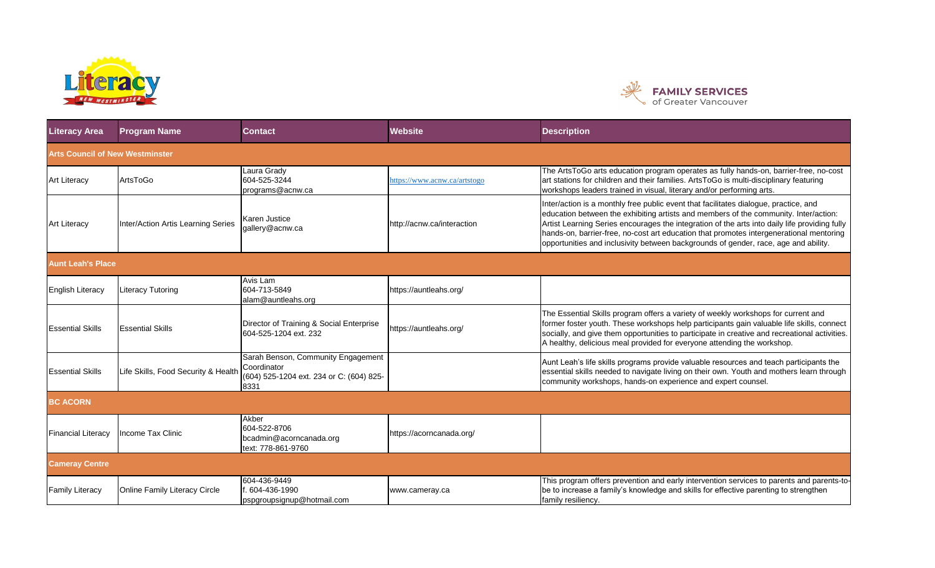



| <b>Literacy Area</b>                   | <b>Program Name</b>                 | <b>Contact</b>                                                                                        | <b>Website</b>               | <b>Description</b>                                                                                                                                                                                                                                                                                                                                                                                                                                              |
|----------------------------------------|-------------------------------------|-------------------------------------------------------------------------------------------------------|------------------------------|-----------------------------------------------------------------------------------------------------------------------------------------------------------------------------------------------------------------------------------------------------------------------------------------------------------------------------------------------------------------------------------------------------------------------------------------------------------------|
| <b>Arts Council of New Westminster</b> |                                     |                                                                                                       |                              |                                                                                                                                                                                                                                                                                                                                                                                                                                                                 |
| <b>Art Literacy</b>                    | ArtsToGo                            | aura Grady<br>604-525-3244<br>programs@acnw.ca                                                        | https://www.acnw.ca/artstogo | The ArtsToGo arts education program operates as fully hands-on, barrier-free, no-cost<br>art stations for children and their families. ArtsToGo is multi-disciplinary featuring<br>workshops leaders trained in visual. literary and/or performing arts.                                                                                                                                                                                                        |
| <b>Art Literacy</b>                    | Inter/Action Artis Learning Series  | Karen Justice<br>gallery@acnw.ca                                                                      | http://acnw.ca/interaction   | Inter/action is a monthly free public event that facilitates dialogue, practice, and<br>education between the exhibiting artists and members of the community. Inter/action:<br>Artist Learning Series encourages the integration of the arts into daily life providing fully<br>hands-on, barrier-free, no-cost art education that promotes intergenerational mentoring<br>opportunities and inclusivity between backgrounds of gender, race, age and ability. |
| <b>Aunt Leah's Place</b>               |                                     |                                                                                                       |                              |                                                                                                                                                                                                                                                                                                                                                                                                                                                                 |
| <b>English Literacy</b>                | <b>Literacy Tutoring</b>            | Avis Lam<br>604-713-5849<br>alam@auntleahs.org                                                        | https://auntleahs.org/       |                                                                                                                                                                                                                                                                                                                                                                                                                                                                 |
| <b>Essential Skills</b>                | <b>Essential Skills</b>             | Director of Training & Social Enterprise<br>604-525-1204 ext. 232                                     | https://auntleahs.org/       | The Essential Skills program offers a variety of weekly workshops for current and<br>former foster youth. These workshops help participants gain valuable life skills, connect<br>socially, and give them opportunities to participate in creative and recreational activities.<br>A healthy, delicious meal provided for everyone attending the workshop.                                                                                                      |
| <b>Essential Skills</b>                | Life Skills, Food Security & Health | Sarah Benson, Community Engagement<br>Coordinator<br>(604) 525-1204 ext. 234 or C: (604) 825-<br>8331 |                              | Aunt Leah's life skills programs provide valuable resources and teach participants the<br>essential skills needed to navigate living on their own. Youth and mothers learn through<br>community workshops, hands-on experience and expert counsel.                                                                                                                                                                                                              |
| <b>BC ACORN</b>                        |                                     |                                                                                                       |                              |                                                                                                                                                                                                                                                                                                                                                                                                                                                                 |
| <b>Financial Literacy</b>              | Income Tax Clinic                   | Akber<br>604-522-8706<br>bcadmin@acorncanada.org<br>text: 778-861-9760                                | https://acorncanada.org/     |                                                                                                                                                                                                                                                                                                                                                                                                                                                                 |
| <b>Cameray Centre</b>                  |                                     |                                                                                                       |                              |                                                                                                                                                                                                                                                                                                                                                                                                                                                                 |
| <b>Family Literacy</b>                 | Online Family Literacy Circle       | 604-436-9449<br>604-436-1990<br>pspgroupsignup@hotmail.com                                            | www.cameray.ca               | This program offers prevention and early intervention services to parents and parents-to-<br>be to increase a family's knowledge and skills for effective parenting to strengthen<br>family resiliency.                                                                                                                                                                                                                                                         |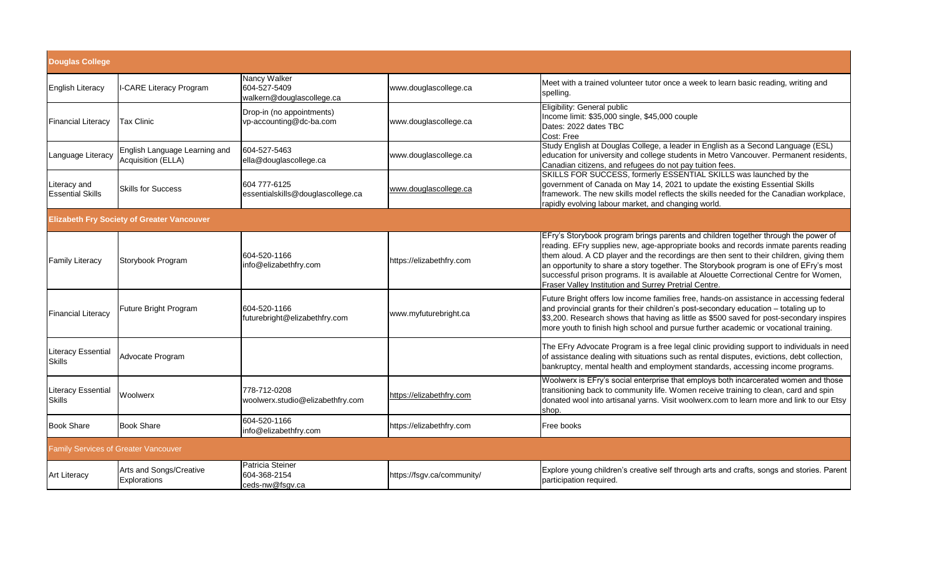| <b>Douglas College</b>                     |                                                     |                                                           |                            |                                                                                                                                                                                                                                                                                                                                                                                                                                                                                                                   |
|--------------------------------------------|-----------------------------------------------------|-----------------------------------------------------------|----------------------------|-------------------------------------------------------------------------------------------------------------------------------------------------------------------------------------------------------------------------------------------------------------------------------------------------------------------------------------------------------------------------------------------------------------------------------------------------------------------------------------------------------------------|
| <b>English Literacy</b>                    | I-CARE Literacy Program                             | Nancy Walker<br>604-527-5409<br>walkern@douglascollege.ca | www.douglascollege.ca      | Meet with a trained volunteer tutor once a week to learn basic reading, writing and<br>spelling.                                                                                                                                                                                                                                                                                                                                                                                                                  |
| <b>Financial Literacy</b>                  | Tax Clinic                                          | Drop-in (no appointments)<br>vp-accounting@dc-ba.com      | www.douglascollege.ca      | Eligibility: General public<br>Income limit: \$35,000 single, \$45,000 couple<br>Dates: 2022 dates TBC<br>Cost: Free                                                                                                                                                                                                                                                                                                                                                                                              |
| Language Literacy                          | English Language Learning and<br>Acquisition (ELLA) | 604-527-5463<br>ella@douglascollege.ca                    | www.douglascollege.ca      | Study English at Douglas College, a leader in English as a Second Language (ESL)<br>education for university and college students in Metro Vancouver. Permanent residents,<br>Canadian citizens, and refugees do not pay tuition fees.                                                                                                                                                                                                                                                                            |
| Literacy and<br><b>Essential Skills</b>    | <b>Skills for Success</b>                           | 604 777-6125<br>essentialskills@douglascollege.ca         | www.douglascollege.ca      | SKILLS FOR SUCCESS, formerly ESSENTIAL SKILLS was launched by the<br>government of Canada on May 14, 2021 to update the existing Essential Skills<br>framework. The new skills model reflects the skills needed for the Canadian workplace,<br>rapidly evolving labour market, and changing world.                                                                                                                                                                                                                |
|                                            | <b>Elizabeth Fry Society of Greater Vancouver</b>   |                                                           |                            |                                                                                                                                                                                                                                                                                                                                                                                                                                                                                                                   |
| <b>Family Literacy</b>                     | Storybook Program                                   | 604-520-1166<br>nfo@elizabethfry.com                      | https://elizabethfry.com   | EFry's Storybook program brings parents and children together through the power of<br>reading. EFry supplies new, age-appropriate books and records inmate parents reading<br>them aloud. A CD player and the recordings are then sent to their children, giving them<br>an opportunity to share a story together. The Storybook program is one of EFry's most<br>successful prison programs. It is available at Alouette Correctional Centre for Women,<br>Fraser Valley Institution and Surrey Pretrial Centre. |
| <b>Financial Literacy</b>                  | Future Bright Program                               | 604-520-1166<br>futurebright@elizabethfry.com             | www.myfuturebright.ca      | Future Bright offers low income families free, hands-on assistance in accessing federal<br>and provincial grants for their children's post-secondary education - totaling up to<br>\$3,200. Research shows that having as little as \$500 saved for post-secondary inspires<br>more youth to finish high school and pursue further academic or vocational training.                                                                                                                                               |
| <b>Literacy Essential</b><br><b>Skills</b> | Advocate Program                                    |                                                           |                            | The EFry Advocate Program is a free legal clinic providing support to individuals in need<br>of assistance dealing with situations such as rental disputes, evictions, debt collection,<br>bankruptcy, mental health and employment standards, accessing income programs.                                                                                                                                                                                                                                         |
| <b>Literacy Essential</b><br><b>Skills</b> | Woolwerx                                            | 778-712-0208<br>woolwerx.studio@elizabethfry.com          | https://elizabethfry.com   | Woolwerx is EFry's social enterprise that employs both incarcerated women and those<br>transitioning back to community life. Women receive training to clean, card and spin<br>donated wool into artisanal yarns. Visit woolwerx.com to learn more and link to our Etsy<br>shop.                                                                                                                                                                                                                                  |
| <b>Book Share</b>                          | <b>Book Share</b>                                   | 604-520-1166<br>info@elizabethfry.com                     | https://elizabethfry.com   | Free books                                                                                                                                                                                                                                                                                                                                                                                                                                                                                                        |
| Family Services of Greater Vancouver       |                                                     |                                                           |                            |                                                                                                                                                                                                                                                                                                                                                                                                                                                                                                                   |
| <b>Art Literacy</b>                        | Arts and Songs/Creative<br>Explorations             | Patricia Steiner<br>604-368-2154<br>ceds-nw@fsgv.ca       | https://fsgv.ca/community/ | Explore young children's creative self through arts and crafts, songs and stories. Parent<br>participation required.                                                                                                                                                                                                                                                                                                                                                                                              |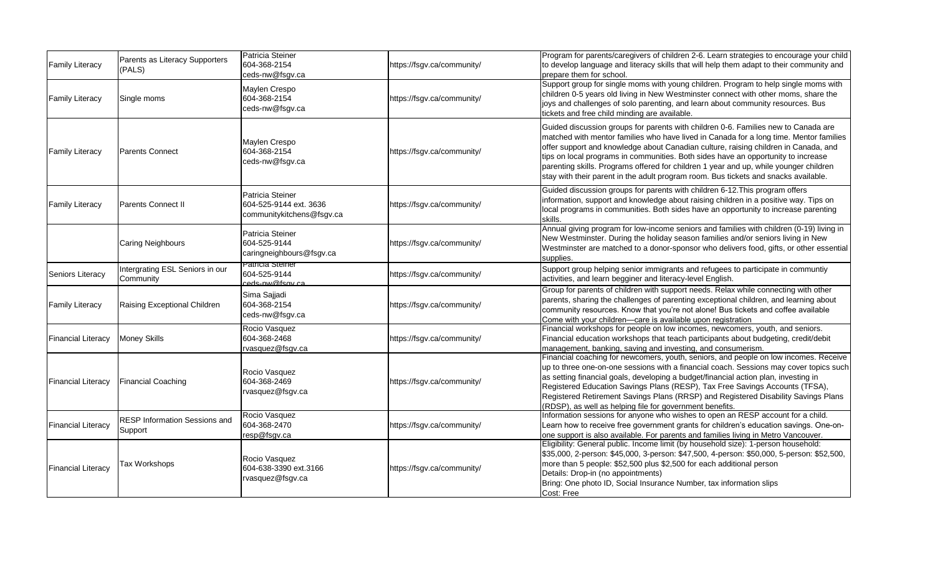| <b>Family Literacy</b>    | Parents as Literacy Supporters<br>(PALS)        | Patricia Steiner<br>604-368-2154<br>ceds-nw@fsgv.ca                     | https://fsgv.ca/community/ | Program for parents/caregivers of children 2-6. Learn strategies to encourage your child<br>to develop language and literacy skills that will help them adapt to their community and<br>prepare them for school.                                                                                                                                                                                                                                                                                                                         |
|---------------------------|-------------------------------------------------|-------------------------------------------------------------------------|----------------------------|------------------------------------------------------------------------------------------------------------------------------------------------------------------------------------------------------------------------------------------------------------------------------------------------------------------------------------------------------------------------------------------------------------------------------------------------------------------------------------------------------------------------------------------|
| <b>Family Literacy</b>    | Single moms                                     | Maylen Crespo<br>604-368-2154<br>ceds-nw@fsgv.ca                        | https://fsgv.ca/community/ | .<br>Support group for single moms with young children. Program to help single moms with<br>children 0-5 years old living in New Westminster connect with other moms, share the<br>joys and challenges of solo parenting, and learn about community resources. Bus<br>tickets and free child minding are available.                                                                                                                                                                                                                      |
| <b>Family Literacy</b>    | <b>Parents Connect</b>                          | Maylen Crespo<br>604-368-2154<br>ceds-nw@fsgv.ca                        | https://fsgv.ca/community/ | Guided discussion groups for parents with children 0-6. Families new to Canada are<br>matched with mentor families who have lived in Canada for a long time. Mentor families<br>offer support and knowledge about Canadian culture, raising children in Canada, and<br>tips on local programs in communities. Both sides have an opportunity to increase<br>parenting skills. Programs offered for children 1 year and up, while younger children<br>stay with their parent in the adult program room. Bus tickets and snacks available. |
| <b>Family Literacy</b>    | Parents Connect II                              | Patricia Steiner<br>604-525-9144 ext. 3636<br>communitykitchens@fsgv.ca | https://fsgv.ca/community/ | Guided discussion groups for parents with children 6-12. This program offers<br>information, support and knowledge about raising children in a positive way. Tips on<br>local programs in communities. Both sides have an opportunity to increase parenting<br>skills.                                                                                                                                                                                                                                                                   |
|                           | Caring Neighbours                               | Patricia Steiner<br>604-525-9144<br>caringneighbours@fsgv.ca            | https://fsgv.ca/community/ | Annual giving program for low-income seniors and families with children (0-19) living in<br>New Westminster. During the holiday season families and/or seniors living in New<br>Westminster are matched to a donor-sponsor who delivers food, gifts, or other essential<br>supplies.                                                                                                                                                                                                                                                     |
| Seniors Literacy          | Intergrating ESL Seniors in our<br>Community    | Patricia Steiner<br>604-525-9144<br>rads_nw@fsav.ca                     | https://fsgv.ca/community/ | Support group helping senior immigrants and refugees to participate in communtiy<br>activities, and learn begginer and literacy-level English.                                                                                                                                                                                                                                                                                                                                                                                           |
| <b>Family Literacy</b>    | Raising Exceptional Children                    | Sima Sajjadi<br>604-368-2154<br>ceds-nw@fsgv.ca                         | https://fsgv.ca/community/ | Group for parents of children with support needs. Relax while connecting with other<br>parents, sharing the challenges of parenting exceptional children, and learning about<br>community resources. Know that you're not alone! Bus tickets and coffee available<br>Come with your children-care is available upon registration                                                                                                                                                                                                         |
| <b>Financial Literacy</b> | <b>Money Skills</b>                             | Rocio Vasquez<br>604-368-2468<br>rvasquez@fsgv.ca                       | https://fsgv.ca/community/ | Financial workshops for people on low incomes, newcomers, youth, and seniors.<br>Financial education workshops that teach participants about budgeting, credit/debit<br>management, banking, saving and investing, and consumerism.                                                                                                                                                                                                                                                                                                      |
| <b>Financial Literacy</b> | <b>Financial Coaching</b>                       | Rocio Vasquez<br>604-368-2469<br>vasquez@fsgv.ca                        | https://fsgv.ca/community/ | Financial coaching for newcomers, youth, seniors, and people on low incomes. Receive<br>up to three one-on-one sessions with a financial coach. Sessions may cover topics such<br>as setting financial goals, developing a budget/financial action plan, investing in<br>Registered Education Savings Plans (RESP), Tax Free Savings Accounts (TFSA),<br>Registered Retirement Savings Plans (RRSP) and Registered Disability Savings Plans<br>(RDSP), as well as helping file for government benefits.                                  |
| <b>Financial Literacy</b> | <b>RESP Information Sessions and</b><br>Support | Rocio Vasquez<br>604-368-2470<br>resp@fsgv.ca                           | https://fsgv.ca/community/ | Information sessions for anyone who wishes to open an RESP account for a child.<br>Learn how to receive free government grants for children's education savings. One-on-<br>one support is also available. For parents and families living in Metro Vancouver.                                                                                                                                                                                                                                                                           |
| <b>Financial Literacy</b> | Tax Workshops                                   | Rocio Vasquez<br>604-638-3390 ext.3166<br>rvasquez@fsgv.ca              | https://fsgv.ca/community/ | Eligibility: General public. Income limit (by household size): 1-person household:<br>\$35,000, 2-person: \$45,000, 3-person: \$47,500, 4-person: \$50,000, 5-person: \$52,500,<br>more than 5 people: \$52,500 plus \$2,500 for each additional person<br>Details: Drop-in (no appointments)<br>Bring: One photo ID, Social Insurance Number, tax information slips<br>Cost: Free                                                                                                                                                       |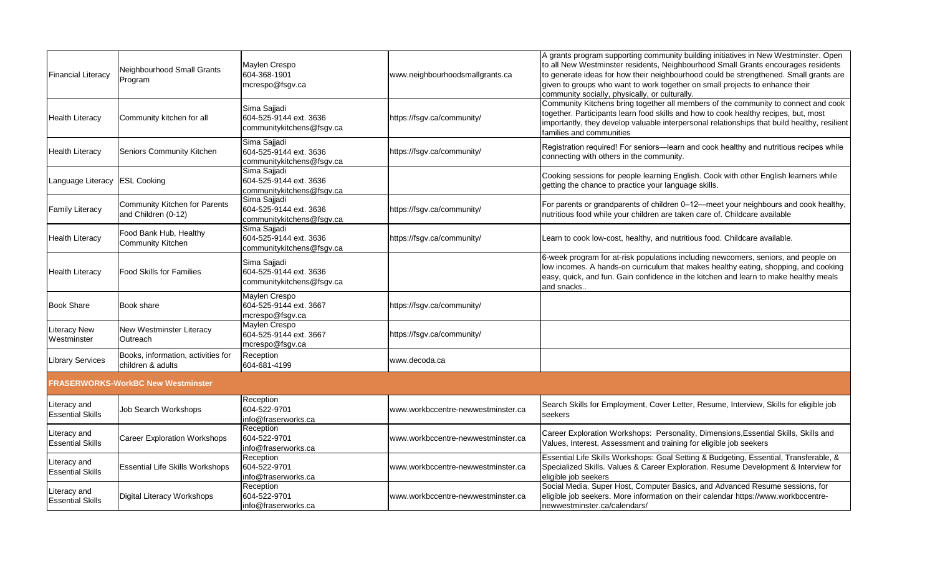| <b>Financial Literacy</b>               | Neighbourhood Small Grants<br>Program                   | Maylen Crespo<br>604-368-1901<br>mcrespo@fsgv.ca                    | www.neighbourhoodsmallgrants.ca    | A grants program supporting community building initiatives in New Westminster. Open<br>to all New Westminster residents, Neighbourhood Small Grants encourages residents<br>to generate ideas for how their neighbourhood could be strengthened. Small grants are<br>given to groups who want to work together on small projects to enhance their<br>community socially, physically, or culturally. |
|-----------------------------------------|---------------------------------------------------------|---------------------------------------------------------------------|------------------------------------|-----------------------------------------------------------------------------------------------------------------------------------------------------------------------------------------------------------------------------------------------------------------------------------------------------------------------------------------------------------------------------------------------------|
| <b>Health Literacy</b>                  | Community kitchen for all                               | Sima Sajjadi<br>604-525-9144 ext. 3636<br>communitykitchens@fsgv.ca | https://fsgv.ca/community/         | Community Kitchens bring together all members of the community to connect and cook<br>together. Participants learn food skills and how to cook healthy recipes, but, most<br>importantly, they develop valuable interpersonal relationships that build healthy, resilient<br>families and communities                                                                                               |
| <b>Health Literacy</b>                  | Seniors Community Kitchen                               | Sima Sajjadi<br>604-525-9144 ext. 3636<br>communitykitchens@fsgv.ca | https://fsgv.ca/community/         | Registration required! For seniors-learn and cook healthy and nutritious recipes while<br>connecting with others in the community.                                                                                                                                                                                                                                                                  |
| Language Literacy                       | <b>ESL Cooking</b>                                      | Sima Sajjadi<br>604-525-9144 ext. 3636<br>communitykitchens@fsgv.ca |                                    | Cooking sessions for people learning English. Cook with other English learners while<br>getting the chance to practice your language skills.                                                                                                                                                                                                                                                        |
| <b>Family Literacy</b>                  | Community Kitchen for Parents<br>and Children (0-12)    | Sima Sajjadi<br>604-525-9144 ext. 3636<br>communitykitchens@fsgv.ca | https://fsgv.ca/community/         | For parents or grandparents of children 0-12-meet your neighbours and cook healthy,<br>nutritious food while your children are taken care of. Childcare available                                                                                                                                                                                                                                   |
| <b>Health Literacy</b>                  | Food Bank Hub, Healthy<br><b>Community Kitchen</b>      | Sima Sajjadi<br>604-525-9144 ext. 3636<br>communitykitchens@fsgv.ca | https://fsgv.ca/community/         | Learn to cook low-cost, healthy, and nutritious food. Childcare available.                                                                                                                                                                                                                                                                                                                          |
| <b>Health Literacy</b>                  | <b>Food Skills for Families</b>                         | Sima Sajjadi<br>604-525-9144 ext. 3636<br>communitykitchens@fsgv.ca |                                    | 6-week program for at-risk populations including newcomers, seniors, and people on<br>low incomes. A hands-on curriculum that makes healthy eating, shopping, and cooking<br>easy, quick, and fun. Gain confidence in the kitchen and learn to make healthy meals<br>and snacks.                                                                                                                    |
| <b>Book Share</b>                       | Book share                                              | Maylen Crespo<br>604-525-9144 ext. 3667<br>mcrespo@fsgv.ca          | https://fsgv.ca/community/         |                                                                                                                                                                                                                                                                                                                                                                                                     |
| <b>Literacy New</b><br>Westminster      | New Westminster Literacy<br>Outreach                    | Maylen Crespo<br>604-525-9144 ext. 3667<br>mcrespo@fsgv.ca          | https://fsgv.ca/community/         |                                                                                                                                                                                                                                                                                                                                                                                                     |
| <b>Library Services</b>                 | Books, information, activities for<br>children & adults | Reception<br>604-681-4199                                           | www.decoda.ca                      |                                                                                                                                                                                                                                                                                                                                                                                                     |
|                                         | <b>FRASERWORKS-WorkBC New Westminster</b>               |                                                                     |                                    |                                                                                                                                                                                                                                                                                                                                                                                                     |
| Literacy and<br><b>Essential Skills</b> | <b>Job Search Workshops</b>                             | Reception<br>604-522-9701<br>info@fraserworks.ca                    | www.workbccentre-newwestminster.ca | Search Skills for Employment, Cover Letter, Resume, Interview, Skills for eligible job<br>seekers                                                                                                                                                                                                                                                                                                   |
| Literacy and<br><b>Essential Skills</b> | <b>Career Exploration Workshops</b>                     | Reception<br>604-522-9701<br>info@fraserworks.ca                    | www.workbccentre-newwestminster.ca | Career Exploration Workshops: Personality, Dimensions, Essential Skills, Skills and<br>Values, Interest, Assessment and training for eligible job seekers                                                                                                                                                                                                                                           |
| Literacy and<br><b>Essential Skills</b> | <b>Essential Life Skills Workshops</b>                  | Reception<br>604-522-9701<br>info@fraserworks.ca                    | www.workbccentre-newwestminster.ca | Essential Life Skills Workshops: Goal Setting & Budgeting, Essential, Transferable, &<br>Specialized Skills. Values & Career Exploration. Resume Development & Interview for<br>eligible job seekers                                                                                                                                                                                                |
| Literacy and<br><b>Essential Skills</b> | Digital Literacy Workshops                              | Reception<br>604-522-9701<br>info@fraserworks.ca                    | www.workbccentre-newwestminster.ca | Social Media, Super Host, Computer Basics, and Advanced Resume sessions, for<br>eligible job seekers. More information on their calendar https://www.workbccentre-<br>newwestminster.ca/calendars/                                                                                                                                                                                                  |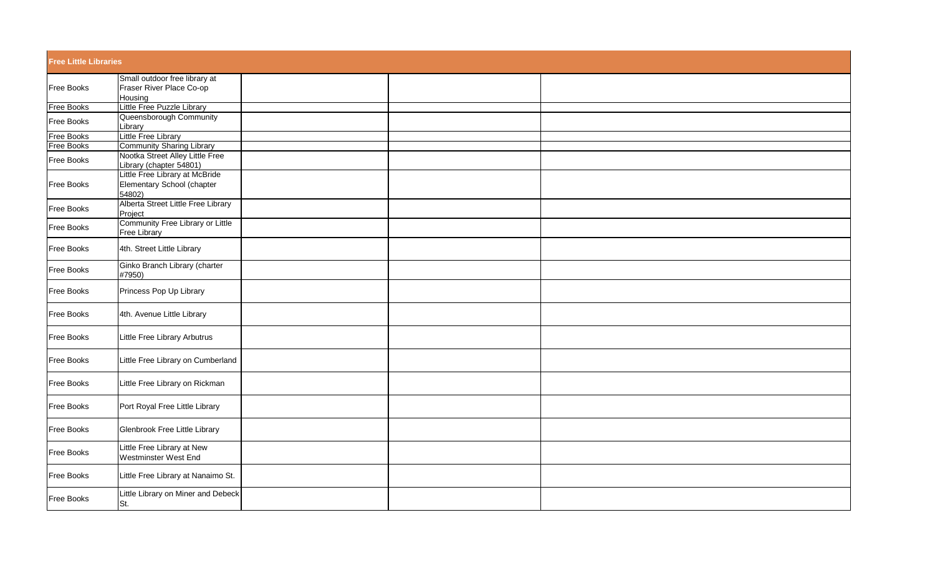| <b>Free Little Libraries</b> |                                                                                              |  |  |
|------------------------------|----------------------------------------------------------------------------------------------|--|--|
| Free Books                   | Small outdoor free library at<br>Fraser River Place Co-op<br>Housing                         |  |  |
| <b>Free Books</b>            | Little Free Puzzle Library                                                                   |  |  |
| Free Books                   | Queensborough Community<br>Library                                                           |  |  |
| Free Books                   | Little Free Library                                                                          |  |  |
| <b>Free Books</b>            | <b>Community Sharing Library</b>                                                             |  |  |
| Free Books                   | Nootka Street Alley Little Free<br>Library (chapter 54801)<br>Little Free Library at McBride |  |  |
| Free Books                   | Elementary School (chapter<br>54802)                                                         |  |  |
| Free Books                   | Alberta Street Little Free Library<br>Project                                                |  |  |
| Free Books                   | Community Free Library or Little<br>Free Library                                             |  |  |
| Free Books                   | 4th. Street Little Library                                                                   |  |  |
| Free Books                   | Ginko Branch Library (charter<br>#7950)                                                      |  |  |
| Free Books                   | Princess Pop Up Library                                                                      |  |  |
| Free Books                   | 4th. Avenue Little Library                                                                   |  |  |
| Free Books                   | Little Free Library Arbutrus                                                                 |  |  |
| Free Books                   | Little Free Library on Cumberland                                                            |  |  |
| Free Books                   | Little Free Library on Rickman                                                               |  |  |
| Free Books                   | Port Royal Free Little Library                                                               |  |  |
| Free Books                   | Glenbrook Free Little Library                                                                |  |  |
| Free Books                   | Little Free Library at New<br>Westminster West End                                           |  |  |
| Free Books                   | Little Free Library at Nanaimo St.                                                           |  |  |
| Free Books                   | Little Library on Miner and Debeck<br>St.                                                    |  |  |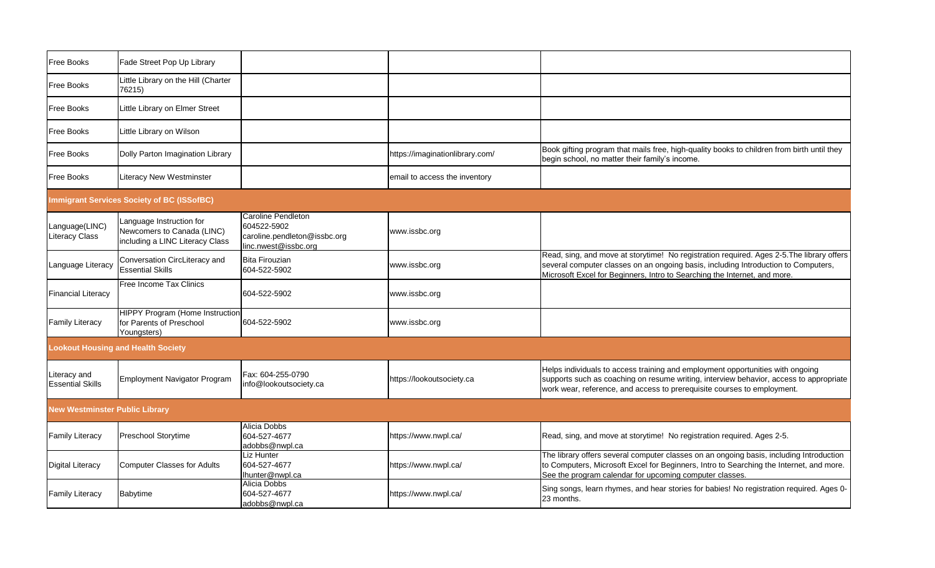| Free Books                              | Fade Street Pop Up Library                                                                |                                                                                           |                                 |                                                                                                                                                                                                                                                              |
|-----------------------------------------|-------------------------------------------------------------------------------------------|-------------------------------------------------------------------------------------------|---------------------------------|--------------------------------------------------------------------------------------------------------------------------------------------------------------------------------------------------------------------------------------------------------------|
| Free Books                              | Little Library on the Hill (Charter<br>76215)                                             |                                                                                           |                                 |                                                                                                                                                                                                                                                              |
| Free Books                              | Little Library on Elmer Street                                                            |                                                                                           |                                 |                                                                                                                                                                                                                                                              |
| Free Books                              | Little Library on Wilson                                                                  |                                                                                           |                                 |                                                                                                                                                                                                                                                              |
| Free Books                              | Dolly Parton Imagination Library                                                          |                                                                                           | https://imaginationlibrary.com/ | Book gifting program that mails free, high-quality books to children from birth until they<br>begin school, no matter their family's income.                                                                                                                 |
| Free Books                              | <b>Literacy New Westminster</b>                                                           |                                                                                           | email to access the inventory   |                                                                                                                                                                                                                                                              |
|                                         | <b>Immigrant Services Society of BC (ISSofBC)</b>                                         |                                                                                           |                                 |                                                                                                                                                                                                                                                              |
| Language(LINC)<br>Literacy Class        | Language Instruction for<br>Newcomers to Canada (LINC)<br>including a LINC Literacy Class | Caroline Pendleton<br>604522-5902<br>caroline.pendleton@issbc.org<br>linc.nwest@issbc.org | www.issbc.org                   |                                                                                                                                                                                                                                                              |
| Language Literacy                       | Conversation CircLiteracy and<br><b>Essential Skills</b>                                  | <b>Bita Firouzian</b><br>604-522-5902                                                     | www.issbc.org                   | Read, sing, and move at storytime! No registration required. Ages 2-5. The library offers<br>several computer classes on an ongoing basis, including Introduction to Computers,<br>Microsoft Excel for Beginners, Intro to Searching the Internet, and more. |
| <b>Financial Literacy</b>               | Free Income Tax Clinics                                                                   | 604-522-5902                                                                              | www.issbc.org                   |                                                                                                                                                                                                                                                              |
| <b>Family Literacy</b>                  | <b>HIPPY Program (Home Instruction</b><br>for Parents of Preschool<br>Youngsters)         | 604-522-5902                                                                              | www.issbc.org                   |                                                                                                                                                                                                                                                              |
|                                         | <b>Lookout Housing and Health Society</b>                                                 |                                                                                           |                                 |                                                                                                                                                                                                                                                              |
| Literacy and<br><b>Essential Skills</b> | Employment Navigator Program                                                              | Fax: 604-255-0790<br>info@lookoutsociety.ca                                               | https://lookoutsociety.ca       | Helps individuals to access training and employment opportunities with ongoing<br>supports such as coaching on resume writing, interview behavior, access to appropriate<br>work wear, reference, and access to prerequisite courses to employment.          |
| <b>New Westminster Public Library</b>   |                                                                                           |                                                                                           |                                 |                                                                                                                                                                                                                                                              |
| <b>Family Literacy</b>                  | Preschool Storytime                                                                       | Alicia Dobbs<br>604-527-4677<br>adobbs@nwpl.ca                                            | https://www.nwpl.ca/            | Read, sing, and move at storytime! No registration required. Ages 2-5.                                                                                                                                                                                       |
| <b>Digital Literacy</b>                 | <b>Computer Classes for Adults</b>                                                        | Liz Hunter<br>604-527-4677<br>Ihunter@nwpl.ca                                             | https://www.nwpl.ca/            | The library offers several computer classes on an ongoing basis, including Introduction<br>to Computers, Microsoft Excel for Beginners, Intro to Searching the Internet, and more.<br>See the program calendar for upcoming computer classes.                |
| <b>Family Literacy</b>                  | Babytime                                                                                  | Alicia Dobbs<br>604-527-4677<br>adobbs@nwpl.ca                                            | https://www.nwpl.ca/            | Sing songs, learn rhymes, and hear stories for babies! No registration required. Ages 0-<br>23 months.                                                                                                                                                       |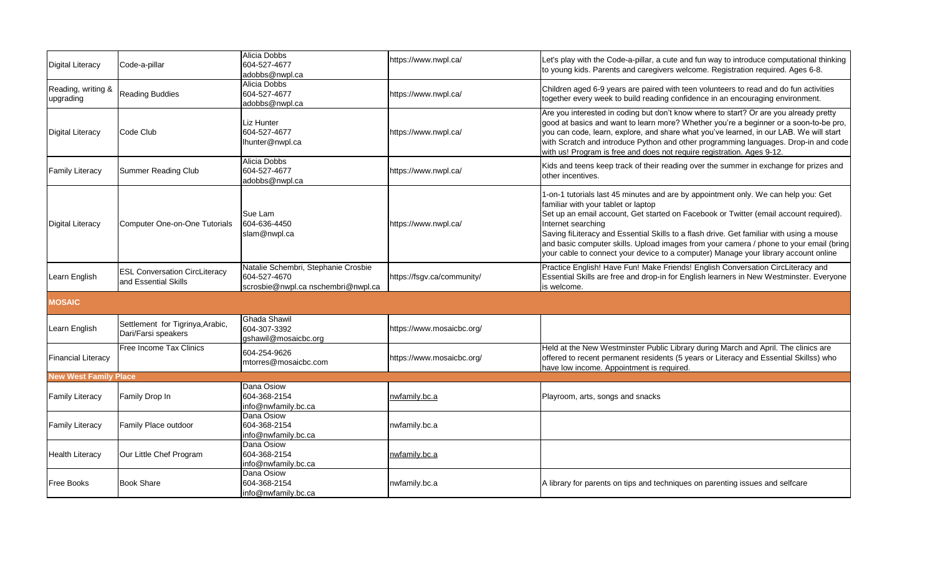| <b>Digital Literacy</b>         | Code-a-pillar                                                | Alicia Dobbs<br>604-527-4677<br>adobbs@nwpl.ca                                            | https://www.nwpl.ca/       | Let's play with the Code-a-pillar, a cute and fun way to introduce computational thinking<br>to young kids. Parents and caregivers welcome. Registration required. Ages 6-8.                                                                                                                                                                                                                                                                                                                                          |
|---------------------------------|--------------------------------------------------------------|-------------------------------------------------------------------------------------------|----------------------------|-----------------------------------------------------------------------------------------------------------------------------------------------------------------------------------------------------------------------------------------------------------------------------------------------------------------------------------------------------------------------------------------------------------------------------------------------------------------------------------------------------------------------|
| Reading, writing &<br>upgrading | <b>Reading Buddies</b>                                       | Alicia Dobbs<br>604-527-4677<br>adobbs@nwpl.ca                                            | https://www.nwpl.ca/       | Children aged 6-9 years are paired with teen volunteers to read and do fun activities<br>together every week to build reading confidence in an encouraging environment.                                                                                                                                                                                                                                                                                                                                               |
| <b>Digital Literacy</b>         | Code Club                                                    | Liz Hunter<br>604-527-4677<br>lhunter@nwpl.ca                                             | https://www.nwpl.ca/       | Are you interested in coding but don't know where to start? Or are you already pretty<br>good at basics and want to learn more? Whether you're a beginner or a soon-to-be pro,<br>you can code, learn, explore, and share what you've learned, in our LAB. We will start<br>with Scratch and introduce Python and other programming languages. Drop-in and code<br>with us! Program is free and does not require registration. Ages 9-12.                                                                             |
| <b>Family Literacy</b>          | <b>Summer Reading Club</b>                                   | Alicia Dobbs<br>604-527-4677<br>adobbs@nwpl.ca                                            | https://www.nwpl.ca/       | Kids and teens keep track of their reading over the summer in exchange for prizes and<br>other incentives.                                                                                                                                                                                                                                                                                                                                                                                                            |
| <b>Digital Literacy</b>         | <b>Computer One-on-One Tutorials</b>                         | Sue Lam<br>604-636-4450<br>slam@nwpl.ca                                                   | https://www.nwpl.ca/       | 1-on-1 tutorials last 45 minutes and are by appointment only. We can help you: Get<br>familiar with your tablet or laptop<br>Set up an email account, Get started on Facebook or Twitter (email account required).<br>Internet searching<br>Saving fiLiteracy and Essential Skills to a flash drive. Get familiar with using a mouse<br>and basic computer skills. Upload images from your camera / phone to your email (bring<br>your cable to connect your device to a computer) Manage your library account online |
| Learn English                   | <b>ESL Conversation CircLiteracy</b><br>and Essential Skills | Natalie Schembri, Stephanie Crosbie<br>604-527-4670<br>scrosbie@nwpl.ca nschembri@nwpl.ca | https://fsgv.ca/community/ | Practice English! Have Fun! Make Friends! English Conversation CircLiteracy and<br>Essential Skills are free and drop-in for English learners in New Westminster. Everyone<br>is welcome.                                                                                                                                                                                                                                                                                                                             |
| <b>MOSAIC</b>                   |                                                              |                                                                                           |                            |                                                                                                                                                                                                                                                                                                                                                                                                                                                                                                                       |
| Learn English                   | Settlement for Tigrinya, Arabic,<br>Dari/Farsi speakers      | <b>Ghada Shawil</b><br>604-307-3392<br>gshawil@mosaicbc.org                               | https://www.mosaicbc.org/  |                                                                                                                                                                                                                                                                                                                                                                                                                                                                                                                       |
| <b>Financial Literacy</b>       | Free Income Tax Clinics                                      | 604-254-9626<br>mtorres@mosaicbc.com                                                      | https://www.mosaicbc.org/  | Held at the New Westminster Public Library during March and April. The clinics are<br>offered to recent permanent residents (5 years or Literacy and Essential Skillss) who<br>have low income. Appointment is required.                                                                                                                                                                                                                                                                                              |
| <b>New West Family Place</b>    |                                                              |                                                                                           |                            |                                                                                                                                                                                                                                                                                                                                                                                                                                                                                                                       |
| <b>Family Literacy</b>          | Family Drop In                                               | Dana Osiow<br>604-368-2154<br>info@nwfamily.bc.ca                                         | nwfamily.bc.a              | Playroom, arts, songs and snacks                                                                                                                                                                                                                                                                                                                                                                                                                                                                                      |
| <b>Family Literacy</b>          | Family Place outdoor                                         | Dana Osiow<br>604-368-2154<br>info@nwfamily.bc.ca                                         | nwfamily.bc.a              |                                                                                                                                                                                                                                                                                                                                                                                                                                                                                                                       |
| <b>Health Literacy</b>          | Our Little Chef Program                                      | Dana Osiow<br>604-368-2154<br>info@nwfamily.bc.ca                                         | nwfamily.bc.a              |                                                                                                                                                                                                                                                                                                                                                                                                                                                                                                                       |
| <b>Free Books</b>               | <b>Book Share</b>                                            | Dana Osiow<br>604-368-2154<br>info@nwfamily.bc.ca                                         | nwfamily.bc.a              | A library for parents on tips and techniques on parenting issues and selfcare                                                                                                                                                                                                                                                                                                                                                                                                                                         |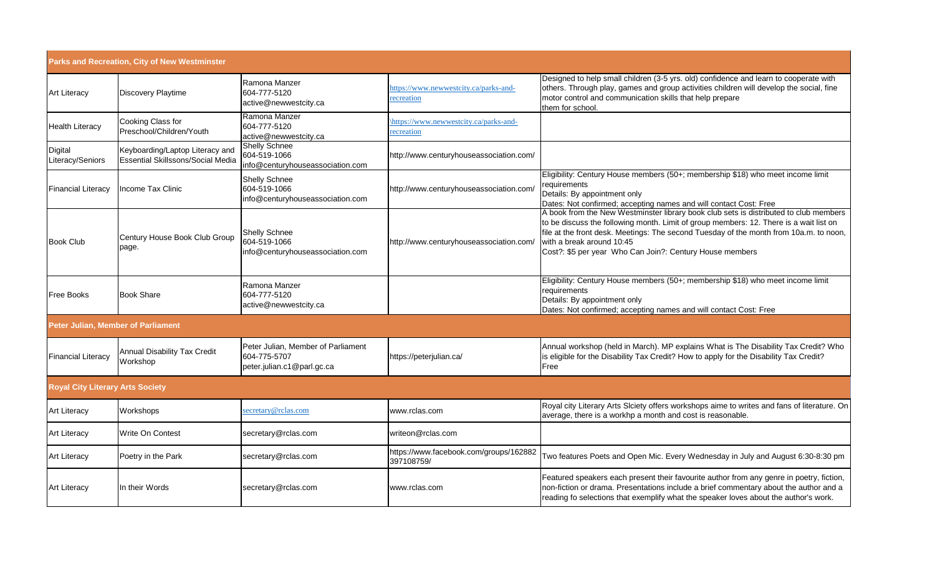|                                         | Parks and Recreation, City of New Westminster                               |                                                                                  |                                                      |                                                                                                                                                                                                                                                                                                                                                                    |
|-----------------------------------------|-----------------------------------------------------------------------------|----------------------------------------------------------------------------------|------------------------------------------------------|--------------------------------------------------------------------------------------------------------------------------------------------------------------------------------------------------------------------------------------------------------------------------------------------------------------------------------------------------------------------|
| Art Literacy                            | <b>Discovery Playtime</b>                                                   | Ramona Manzer<br>604-777-5120<br>active@newwestcity.ca                           | https://www.newwestcity.ca/parks-and-<br>recreation  | Designed to help small children (3-5 yrs. old) confidence and learn to cooperate with<br>others. Through play, games and group activities children will develop the social, fine<br>motor control and communication skills that help prepare<br>them for school.                                                                                                   |
| Health Literacy                         | Cooking Class for<br>Preschool/Children/Youth                               | Ramona Manzer<br>604-777-5120<br>active@newwestcity.ca                           | https://www.newwestcity.ca/parks-and-<br>recreation  |                                                                                                                                                                                                                                                                                                                                                                    |
| Digital<br>Literacy/Seniors             | Keyboarding/Laptop Literacy and<br><b>Essential Skillssons/Social Media</b> | <b>Shelly Schnee</b><br>604-519-1066<br>info@centuryhouseassociation.com         | http://www.centuryhouseassociation.com/              |                                                                                                                                                                                                                                                                                                                                                                    |
| <b>Financial Literacy</b>               | Income Tax Clinic                                                           | <b>Shelly Schnee</b><br>604-519-1066<br>info@centuryhouseassociation.com         | http://www.centuryhouseassociation.com               | Eligibility: Century House members (50+; membership \$18) who meet income limit<br>requirements<br>Details: By appointment only<br>Dates: Not confirmed; accepting names and will contact Cost: Free                                                                                                                                                               |
| <b>Book Club</b>                        | Century House Book Club Group<br>page.                                      | Shelly Schnee<br>604-519-1066<br>info@centuryhouseassociation.com                | http://www.centuryhouseassociation.com/              | A book from the New Westminster library book club sets is distributed to club members<br>to be discuss the following month. Limit of group members: 12. There is a wait list on<br>file at the front desk. Meetings: The second Tuesday of the month from 10a.m. to noon,<br>with a break around 10:45<br>Cost?: \$5 per year Who Can Join?: Century House members |
| Free Books                              | <b>Book Share</b>                                                           | Ramona Manzer<br>604-777-5120<br>active@newwestcity.ca                           |                                                      | Eligibility: Century House members (50+; membership \$18) who meet income limit<br>requirements<br>Details: By appointment only<br>Dates: Not confirmed; accepting names and will contact Cost: Free                                                                                                                                                               |
| Peter Julian, Member of Parliament      |                                                                             |                                                                                  |                                                      |                                                                                                                                                                                                                                                                                                                                                                    |
| <b>Financial Literacy</b>               | Annual Disability Tax Credit<br>Workshop                                    | Peter Julian, Member of Parliament<br>604-775-5707<br>peter.julian.c1@parl.gc.ca | https://peterjulian.ca/                              | Annual workshop (held in March). MP explains What is The Disability Tax Credit? Who<br>is eligible for the Disability Tax Credit? How to apply for the Disability Tax Credit?<br>Free                                                                                                                                                                              |
| <b>Royal City Literary Arts Society</b> |                                                                             |                                                                                  |                                                      |                                                                                                                                                                                                                                                                                                                                                                    |
| Art Literacy                            | Workshops                                                                   | secretary@rclas.com                                                              | www.rclas.com                                        | Royal city Literary Arts Slciety offers workshops aime to writes and fans of literature. On<br>average, there is a workhp a month and cost is reasonable.                                                                                                                                                                                                          |
| Art Literacy                            | Write On Contest                                                            | secretary@rclas.com                                                              | writeon@rclas.com                                    |                                                                                                                                                                                                                                                                                                                                                                    |
| Art Literacy                            | Poetry in the Park                                                          | secretary@rclas.com                                                              | https://www.facebook.com/groups/162882<br>397108759/ | Two features Poets and Open Mic. Every Wednesday in July and August 6:30-8:30 pm                                                                                                                                                                                                                                                                                   |
| Art Literacy                            | In their Words                                                              | secretary@rclas.com                                                              | www.rclas.com                                        | Featured speakers each present their favourite author from any genre in poetry, fiction,<br>non-fiction or drama. Presentations include a brief commentary about the author and a<br>reading fo selections that exemplify what the speaker loves about the author's work.                                                                                          |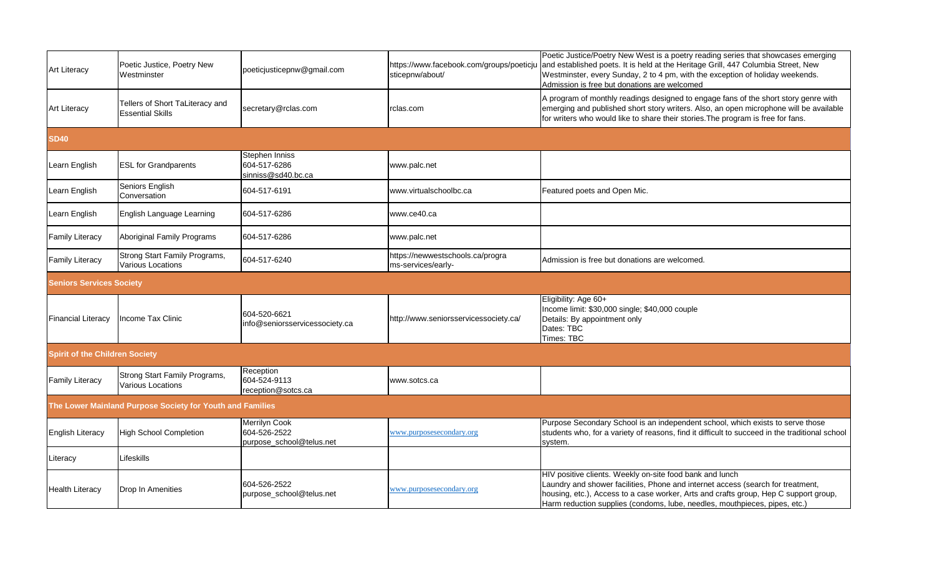| <b>Art Literacy</b>                   | Poetic Justice, Poetry New<br>Westminster                  | poeticjusticepnw@gmail.com                                | https://www.facebook.com/groups/poeticju<br>sticepnw/about/ | Poetic Justice/Poetry New West is a poetry reading series that showcases emerging<br>and established poets. It is held at the Heritage Grill, 447 Columbia Street, New<br>Westminster, every Sunday, 2 to 4 pm, with the exception of holiday weekends.<br>Admission is free but donations are welcomed           |
|---------------------------------------|------------------------------------------------------------|-----------------------------------------------------------|-------------------------------------------------------------|-------------------------------------------------------------------------------------------------------------------------------------------------------------------------------------------------------------------------------------------------------------------------------------------------------------------|
| <b>Art Literacy</b>                   | Tellers of Short TaLiteracy and<br><b>Essential Skills</b> | secretary@rclas.com                                       | rclas.com                                                   | A program of monthly readings designed to engage fans of the short story genre with<br>emerging and published short story writers. Also, an open microphone will be available<br>for writers who would like to share their stories. The program is free for fans.                                                 |
| <b>SD40</b>                           |                                                            |                                                           |                                                             |                                                                                                                                                                                                                                                                                                                   |
| Learn English                         | <b>ESL for Grandparents</b>                                | Stephen Inniss<br>604-517-6286<br>sinniss@sd40.bc.ca      | www.palc.net                                                |                                                                                                                                                                                                                                                                                                                   |
| Learn English                         | Seniors English<br>Conversation                            | 604-517-6191                                              | www.virtualschoolbc.ca                                      | Featured poets and Open Mic.                                                                                                                                                                                                                                                                                      |
| Learn English                         | English Language Learning                                  | 604-517-6286                                              | www.ce40.ca                                                 |                                                                                                                                                                                                                                                                                                                   |
| <b>Family Literacy</b>                | Aboriginal Family Programs                                 | 604-517-6286                                              | www.palc.net                                                |                                                                                                                                                                                                                                                                                                                   |
| <b>Family Literacy</b>                | Strong Start Family Programs,<br><b>Various Locations</b>  | 604-517-6240                                              | https://newwestschools.ca/progra<br>ms-services/early-      | Admission is free but donations are welcomed.                                                                                                                                                                                                                                                                     |
| <b>Seniors Services Society</b>       |                                                            |                                                           |                                                             |                                                                                                                                                                                                                                                                                                                   |
| <b>Financial Literacy</b>             | Income Tax Clinic                                          | 604-520-6621<br>info@seniorsservicessociety.ca            | http://www.seniorsservicessociety.ca/                       | Eligibility: Age 60+<br>Income limit: \$30,000 single; \$40,000 couple<br>Details: By appointment only<br>Dates: TBC<br>Times: TBC                                                                                                                                                                                |
| <b>Spirit of the Children Society</b> |                                                            |                                                           |                                                             |                                                                                                                                                                                                                                                                                                                   |
| <b>Family Literacy</b>                | Strong Start Family Programs,<br>Various Locations         | Reception<br>604-524-9113<br>reception@sotcs.ca           | www.sotcs.ca                                                |                                                                                                                                                                                                                                                                                                                   |
|                                       | The Lower Mainland Purpose Society for Youth and Families  |                                                           |                                                             |                                                                                                                                                                                                                                                                                                                   |
| <b>English Literacy</b>               | <b>High School Completion</b>                              | Merrilyn Cook<br>604-526-2522<br>purpose_school@telus.net | www.purposesecondary.org                                    | Purpose Secondary School is an independent school, which exists to serve those<br>students who, for a variety of reasons, find it difficult to succeed in the traditional school<br>system.                                                                                                                       |
| Literacy                              | Lifeskills                                                 |                                                           |                                                             |                                                                                                                                                                                                                                                                                                                   |
| <b>Health Literacy</b>                | Drop In Amenities                                          | 604-526-2522<br>purpose_school@telus.net                  | www.purposesecondary.org                                    | HIV positive clients. Weekly on-site food bank and lunch<br>Laundry and shower facilities, Phone and internet access (search for treatment,<br>housing, etc.), Access to a case worker, Arts and crafts group, Hep C support group,<br>Harm reduction supplies (condoms, lube, needles, mouthpieces, pipes, etc.) |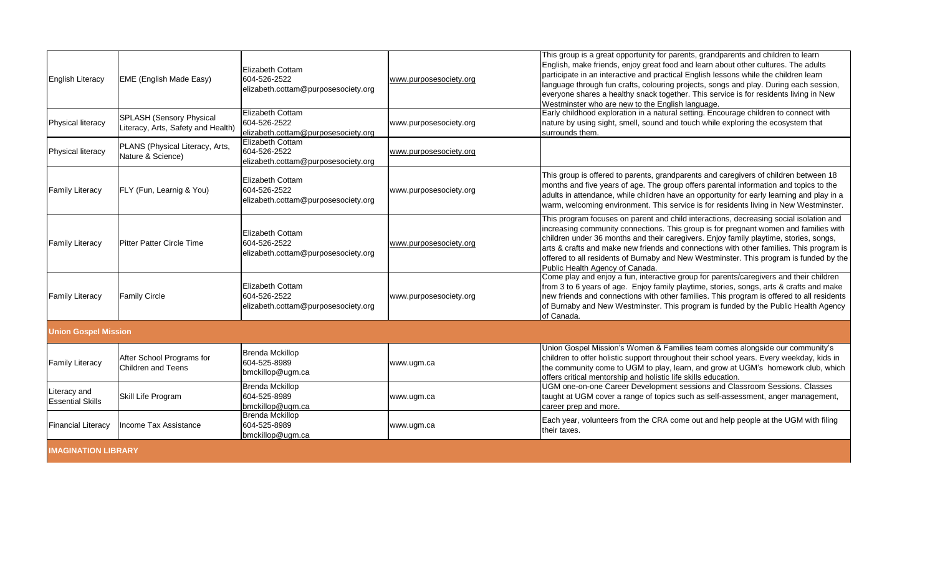| <b>English Literacy</b>                 | <b>EME (English Made Easy)</b>                                 | <b>Elizabeth Cottam</b><br>604-526-2522<br>elizabeth.cottam@purposesociety.org | www.purposesociety.org | This group is a great opportunity for parents, grandparents and children to learn<br>English, make friends, enjoy great food and learn about other cultures. The adults<br>participate in an interactive and practical English lessons while the children learn<br>language through fun crafts, colouring projects, songs and play. During each session,<br>everyone shares a healthy snack together. This service is for residents living in New<br>Westminster who are new to the English language. |
|-----------------------------------------|----------------------------------------------------------------|--------------------------------------------------------------------------------|------------------------|-------------------------------------------------------------------------------------------------------------------------------------------------------------------------------------------------------------------------------------------------------------------------------------------------------------------------------------------------------------------------------------------------------------------------------------------------------------------------------------------------------|
| Physical literacy                       | SPLASH (Sensory Physical<br>Literacy, Arts, Safety and Health) | <b>Elizabeth Cottam</b><br>604-526-2522<br>elizabeth.cottam@purposesociety.org | www.purposesociety.org | Early childhood exploration in a natural setting. Encourage children to connect with<br>nature by using sight, smell, sound and touch while exploring the ecosystem that<br>surrounds them.                                                                                                                                                                                                                                                                                                           |
| Physical literacy                       | PLANS (Physical Literacy, Arts,<br>Nature & Science)           | <b>Elizabeth Cottam</b><br>604-526-2522<br>elizabeth.cottam@purposesociety.org | www.purposesociety.org |                                                                                                                                                                                                                                                                                                                                                                                                                                                                                                       |
| <b>Family Literacy</b>                  | FLY (Fun, Learnig & You)                                       | <b>Elizabeth Cottam</b><br>604-526-2522<br>elizabeth.cottam@purposesociety.org | www.purposesociety.org | This group is offered to parents, grandparents and caregivers of children between 18<br>months and five years of age. The group offers parental information and topics to the<br>adults in attendance, while children have an opportunity for early learning and play in a<br>warm, welcoming environment. This service is for residents living in New Westminster.                                                                                                                                   |
| <b>Family Literacy</b>                  | Pitter Patter Circle Time                                      | Elizabeth Cottam<br>604-526-2522<br>elizabeth.cottam@purposesociety.org        | www.purposesociety.org | This program focuses on parent and child interactions, decreasing social isolation and<br>increasing community connections. This group is for pregnant women and families with<br>children under 36 months and their caregivers. Enjoy family playtime, stories, songs,<br>arts & crafts and make new friends and connections with other families. This program is<br>offered to all residents of Burnaby and New Westminster. This program is funded by the<br>Public Health Agency of Canada.       |
| <b>Family Literacy</b>                  | <b>Family Circle</b>                                           | <b>Elizabeth Cottam</b><br>604-526-2522<br>elizabeth.cottam@purposesociety.org | www.purposesociety.org | Come play and enjoy a fun, interactive group for parents/caregivers and their children<br>from 3 to 6 years of age. Enjoy family playtime, stories, songs, arts & crafts and make<br>new friends and connections with other families. This program is offered to all residents<br>of Burnaby and New Westminster. This program is funded by the Public Health Agency<br>of Canada.                                                                                                                    |
| <b>Union Gospel Mission</b>             |                                                                |                                                                                |                        |                                                                                                                                                                                                                                                                                                                                                                                                                                                                                                       |
| <b>Family Literacy</b>                  | After School Programs for<br><b>Children and Teens</b>         | <b>Brenda Mckillop</b><br>604-525-8989<br>bmckillop@ugm.ca                     | www.ugm.ca             | Union Gospel Mission's Women & Families team comes alongside our community's<br>children to offer holistic support throughout their school years. Every weekday, kids in<br>the community come to UGM to play, learn, and grow at UGM's homework club, which<br>offers critical mentorship and holistic life skills education.                                                                                                                                                                        |
| Literacy and<br><b>Essential Skills</b> | Skill Life Program                                             | <b>Brenda Mckillop</b><br>604-525-8989<br>bmckillop@ugm.ca                     | www.ugm.ca             | UGM one-on-one Career Development sessions and Classroom Sessions. Classes<br>taught at UGM cover a range of topics such as self-assessment, anger management,<br>career prep and more.                                                                                                                                                                                                                                                                                                               |
| <b>Financial Literacy</b>               | Income Tax Assistance                                          | <b>Brenda Mckillop</b><br>604-525-8989<br>bmckillop@ugm.ca                     | www.ugm.ca             | Each year, volunteers from the CRA come out and help people at the UGM with filing<br>their taxes.                                                                                                                                                                                                                                                                                                                                                                                                    |
| <b>IMAGINATION LIBRARY</b>              |                                                                |                                                                                |                        |                                                                                                                                                                                                                                                                                                                                                                                                                                                                                                       |